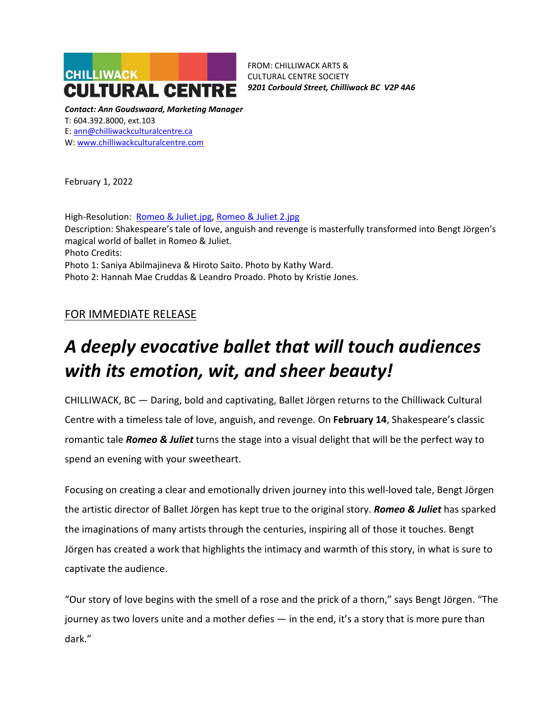

FROM: CHILLIWACK ARTS & CULTURAL CENTRE SOCIETY *9201 Corbould Street, Chilliwack BC V2P 4A6*

*Contact: Ann Goudswaard, Marketing Manager* T: 604.392.8000, ext.103 E: [ann@chilliwackculturalcentre.ca](mailto:ann@chilliwackculturalcentre.ca) W: [www.chilliwackculturalcentre.com](http://www.chilliwackculturalcentre.com/)

February 1, 2022

High-Resolution: [Romeo & Juliet.jpg,](https://www.chilliwackculturalcentre.ca/wordpress/wp-content/uploads/2022/01/Romeo-Juliet.jpg) [Romeo & Juliet](https://www.chilliwackculturalcentre.ca/wordpress/wp-content/uploads/2022/01/Romeo-Juliet-2.jpg) 2.jpg Description: Shakespeare's tale of love, anguish and revenge is masterfully transformed into Bengt Jörgen's magical world of ballet in Romeo & Juliet. Photo Credits: Photo 1: Saniya Abilmajineva & Hiroto Saito. Photo by Kathy Ward. Photo 2: Hannah Mae Cruddas & Leandro Proado. Photo by Kristie Jones.

## FOR IMMEDIATE RELEASE

# *A deeply evocative ballet that will touch audiences with its emotion, wit, and sheer beauty!*

CHILLIWACK, BC — Daring, bold and captivating, Ballet Jörgen returns to the Chilliwack Cultural Centre with a timeless tale of love, anguish, and revenge. On **February 14**, Shakespeare's classic romantic tale *Romeo & Juliet* turns the stage into a visual delight that will be the perfect way to spend an evening with your sweetheart.

Focusing on creating a clear and emotionally driven journey into this well-loved tale, Bengt Jörgen the artistic director of Ballet Jörgen has kept true to the original story. *Romeo & Juliet* has sparked the imaginations of many artists through the centuries, inspiring all of those it touches. Bengt Jörgen has created a work that highlights the intimacy and warmth of this story, in what is sure to captivate the audience.

"Our story of love begins with the smell of a rose and the prick of a thorn," says Bengt Jörgen. "The journey as two lovers unite and a mother defies — in the end, it's a story that is more pure than dark."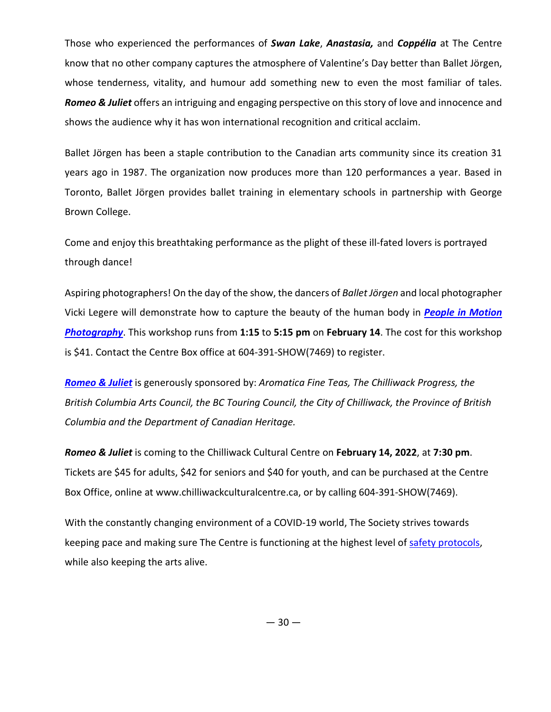Those who experienced the performances of *Swan Lake*, *Anastasia,* and *Coppélia* at The Centre know that no other company captures the atmosphere of Valentine's Day better than Ballet Jörgen, whose tenderness, vitality, and humour add something new to even the most familiar of tales. *Romeo & Juliet* offers an intriguing and engaging perspective on this story of love and innocence and shows the audience why it has won international recognition and critical acclaim.

Ballet Jörgen has been a staple contribution to the Canadian arts community since its creation 31 years ago in 1987. The organization now produces more than 120 performances a year. Based in Toronto, Ballet Jörgen provides ballet training in elementary schools in partnership with George Brown College.

Come and enjoy this breathtaking performance as the plight of these ill-fated lovers is portrayed through dance!

Aspiring photographers! On the day of the show, the dancers of *Ballet Jörgen* and local photographer Vicki Legere will demonstrate how to capture the beauty of the human body in *[People in Motion](https://www.chilliwackculturalcentre.ca/class/people-in-motion-photography/?re=all)  [Photography](https://www.chilliwackculturalcentre.ca/class/people-in-motion-photography/?re=all)*. This workshop runs from **1:15** to **5:15 pm** on **February 14**. The cost for this workshop is \$41. Contact the Centre Box office at 604-391-SHOW(7469) to register.

*[Romeo & Juliet](https://www.chilliwackculturalcentre.ca/event/romeo-juliet/#.YfLXVOrMIdU)* is generously sponsored by: *Aromatica Fine Teas, The Chilliwack Progress, the British Columbia Arts Council, the BC Touring Council, the City of Chilliwack, the Province of British Columbia and the Department of Canadian Heritage.*

*Romeo & Juliet* is coming to the Chilliwack Cultural Centre on **February 14, 2022**, at **7:30 pm**. Tickets are \$45 for adults, \$42 for seniors and \$40 for youth, and can be purchased at the Centre Box Office, online at www.chilliwackculturalcentre.ca, or by calling 604-391-SHOW(7469).

With the constantly changing environment of a COVID-19 world, The Society strives towards keeping pace and making sure The Centre is functioning at the highest level of [safety protocols,](https://www.chilliwackculturalcentre.ca/extras/safety-protocols-stage-3/#.YS6deveSmUk) while also keeping the arts alive.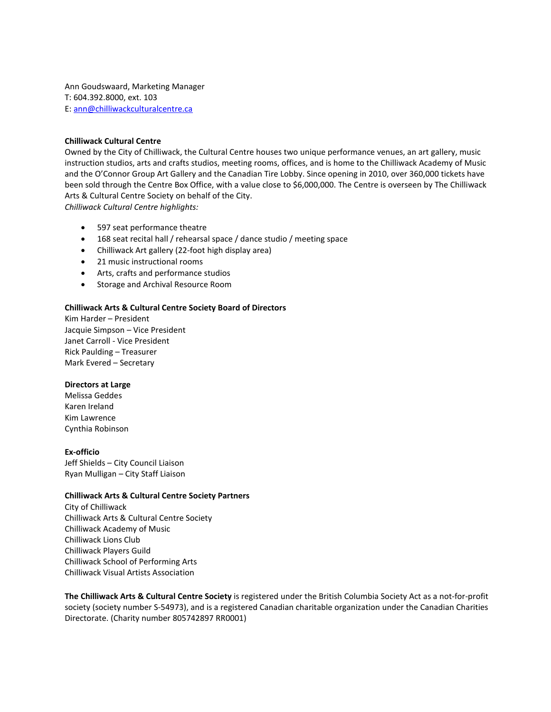Ann Goudswaard, Marketing Manager T: 604.392.8000, ext. 103 E: [ann@chilliwackculturalcentre.ca](mailto:ann@chilliwackculturalcentre.ca)

### **Chilliwack Cultural Centre**

Owned by the City of Chilliwack, the Cultural Centre houses two unique performance venues, an art gallery, music instruction studios, arts and crafts studios, meeting rooms, offices, and is home to the Chilliwack Academy of Music and the O'Connor Group Art Gallery and the Canadian Tire Lobby. Since opening in 2010, over 360,000 tickets have been sold through the Centre Box Office, with a value close to \$6,000,000. The Centre is overseen by The Chilliwack Arts & Cultural Centre Society on behalf of the City. *Chilliwack Cultural Centre highlights:*

- 597 seat performance theatre
- 168 seat recital hall / rehearsal space / dance studio / meeting space
- Chilliwack Art gallery (22-foot high display area)
- 21 music instructional rooms
- Arts, crafts and performance studios
- Storage and Archival Resource Room

#### **Chilliwack Arts & Cultural Centre Society Board of Directors**

Kim Harder – President Jacquie Simpson – Vice President Janet Carroll - Vice President Rick Paulding – Treasurer Mark Evered – Secretary

#### **Directors at Large**

Melissa Geddes Karen Ireland Kim Lawrence Cynthia Robinson

#### **Ex-officio**

Jeff Shields – City Council Liaison Ryan Mulligan – City Staff Liaison

#### **Chilliwack Arts & Cultural Centre Society Partners**

City of Chilliwack Chilliwack Arts & Cultural Centre Society Chilliwack Academy of Music Chilliwack Lions Club Chilliwack Players Guild Chilliwack School of Performing Arts Chilliwack Visual Artists Association

**The Chilliwack Arts & Cultural Centre Society** is registered under the British Columbia Society Act as a not-for-profit society (society number S-54973), and is a registered Canadian charitable organization under the Canadian Charities Directorate. (Charity number 805742897 RR0001)